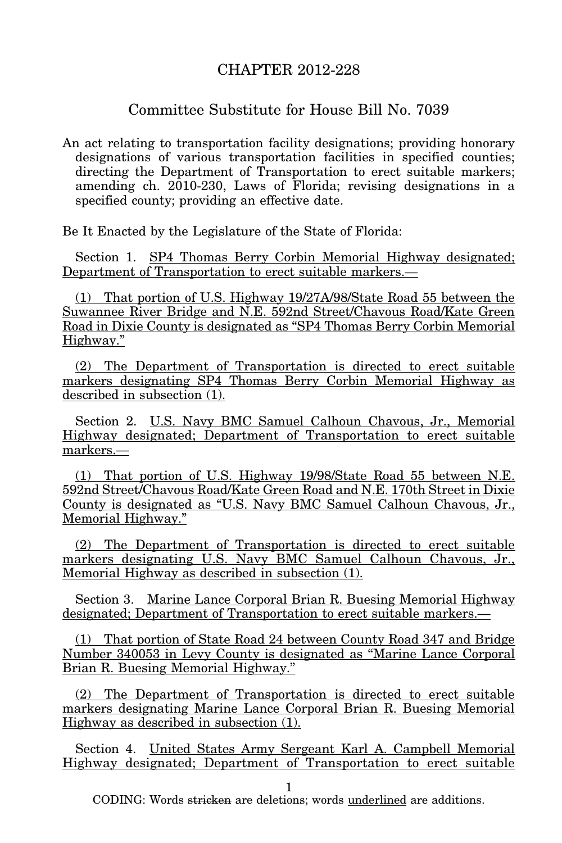## CHAPTER 2012-228

## Committee Substitute for House Bill No. 7039

An act relating to transportation facility designations; providing honorary designations of various transportation facilities in specified counties; directing the Department of Transportation to erect suitable markers; amending ch. 2010-230, Laws of Florida; revising designations in a specified county; providing an effective date.

Be It Enacted by the Legislature of the State of Florida:

Section 1. SP4 Thomas Berry Corbin Memorial Highway designated; Department of Transportation to erect suitable markers.—

(1) That portion of U.S. Highway 19/27A/98/State Road 55 between the Suwannee River Bridge and N.E. 592nd Street/Chavous Road/Kate Green Road in Dixie County is designated as "SP4 Thomas Berry Corbin Memorial Highway."

(2) The Department of Transportation is directed to erect suitable markers designating SP4 Thomas Berry Corbin Memorial Highway as described in subsection (1).

Section 2. U.S. Navy BMC Samuel Calhoun Chavous, Jr., Memorial Highway designated; Department of Transportation to erect suitable markers.—

(1) That portion of U.S. Highway 19/98/State Road 55 between N.E. 592nd Street/Chavous Road/Kate Green Road and N.E. 170th Street in Dixie County is designated as "U.S. Navy BMC Samuel Calhoun Chavous, Jr., Memorial Highway."

(2) The Department of Transportation is directed to erect suitable markers designating U.S. Navy BMC Samuel Calhoun Chavous, Jr., Memorial Highway as described in subsection (1).

Section 3. Marine Lance Corporal Brian R. Buesing Memorial Highway designated; Department of Transportation to erect suitable markers.—

(1) That portion of State Road 24 between County Road 347 and Bridge Number 340053 in Levy County is designated as "Marine Lance Corporal Brian R. Buesing Memorial Highway."

(2) The Department of Transportation is directed to erect suitable markers designating Marine Lance Corporal Brian R. Buesing Memorial Highway as described in subsection (1).

Section 4. United States Army Sergeant Karl A. Campbell Memorial Highway designated; Department of Transportation to erect suitable

1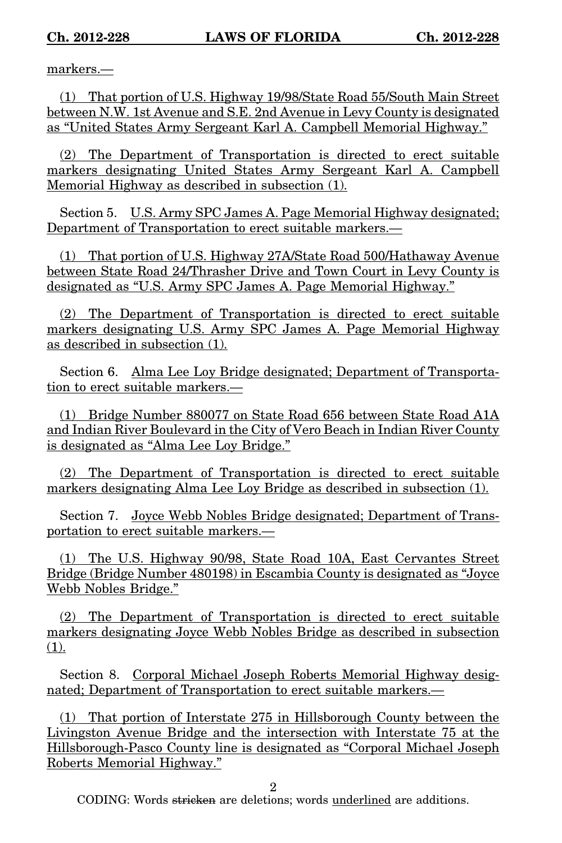markers.—

(1) That portion of U.S. Highway 19/98/State Road 55/South Main Street between N.W. 1st Avenue and S.E. 2nd Avenue in Levy County is designated as "United States Army Sergeant Karl A. Campbell Memorial Highway."

(2) The Department of Transportation is directed to erect suitable markers designating United States Army Sergeant Karl A. Campbell Memorial Highway as described in subsection (1).

Section 5. U.S. Army SPC James A. Page Memorial Highway designated; Department of Transportation to erect suitable markers.—

(1) That portion of U.S. Highway 27A/State Road 500/Hathaway Avenue between State Road 24/Thrasher Drive and Town Court in Levy County is designated as "U.S. Army SPC James A. Page Memorial Highway."

(2) The Department of Transportation is directed to erect suitable markers designating U.S. Army SPC James A. Page Memorial Highway as described in subsection (1).

Section 6. Alma Lee Loy Bridge designated; Department of Transportation to erect suitable markers.—

(1) Bridge Number 880077 on State Road 656 between State Road A1A and Indian River Boulevard in the City of Vero Beach in Indian River County is designated as "Alma Lee Loy Bridge."

(2) The Department of Transportation is directed to erect suitable markers designating Alma Lee Loy Bridge as described in subsection (1).

Section 7. Joyce Webb Nobles Bridge designated; Department of Transportation to erect suitable markers.—

(1) The U.S. Highway 90/98, State Road 10A, East Cervantes Street Bridge (Bridge Number 480198) in Escambia County is designated as "Joyce Webb Nobles Bridge."

(2) The Department of Transportation is directed to erect suitable markers designating Joyce Webb Nobles Bridge as described in subsection (1).

Section 8. Corporal Michael Joseph Roberts Memorial Highway designated; Department of Transportation to erect suitable markers.—

(1) That portion of Interstate 275 in Hillsborough County between the Livingston Avenue Bridge and the intersection with Interstate 75 at the Hillsborough-Pasco County line is designated as "Corporal Michael Joseph Roberts Memorial Highway."

2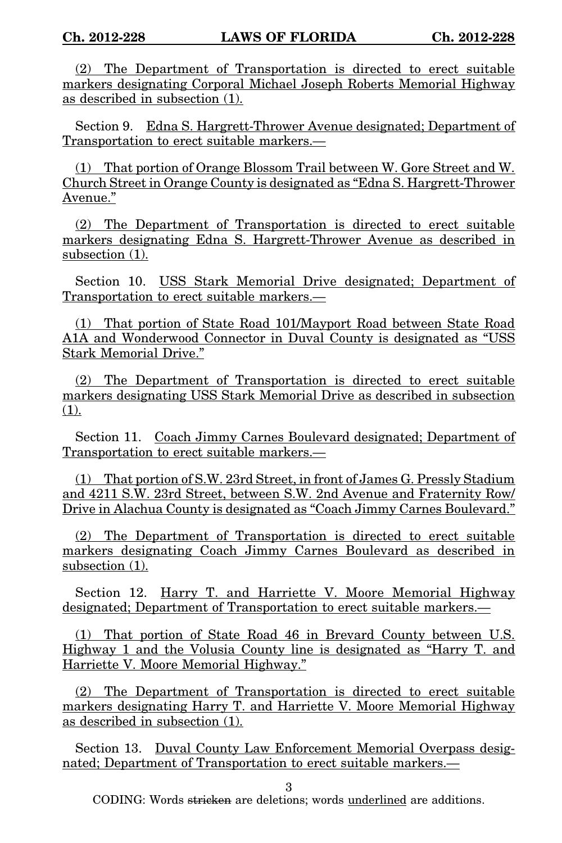(2) The Department of Transportation is directed to erect suitable markers designating Corporal Michael Joseph Roberts Memorial Highway as described in subsection (1).

Section 9. Edna S. Hargrett-Thrower Avenue designated; Department of Transportation to erect suitable markers.—

(1) That portion of Orange Blossom Trail between W. Gore Street and W. Church Street in Orange County is designated as "Edna S. Hargrett-Thrower Avenue."

(2) The Department of Transportation is directed to erect suitable markers designating Edna S. Hargrett-Thrower Avenue as described in subsection (1).

Section 10. USS Stark Memorial Drive designated; Department of Transportation to erect suitable markers.—

(1) That portion of State Road 101/Mayport Road between State Road A1A and Wonderwood Connector in Duval County is designated as "USS Stark Memorial Drive."

(2) The Department of Transportation is directed to erect suitable markers designating USS Stark Memorial Drive as described in subsection (1).

Section 11. Coach Jimmy Carnes Boulevard designated; Department of Transportation to erect suitable markers.—

(1) That portion of S.W. 23rd Street, in front of James G. Pressly Stadium and 4211 S.W. 23rd Street, between S.W. 2nd Avenue and Fraternity Row/ Drive in Alachua County is designated as "Coach Jimmy Carnes Boulevard."

(2) The Department of Transportation is directed to erect suitable markers designating Coach Jimmy Carnes Boulevard as described in subsection (1).

Section 12. Harry T. and Harriette V. Moore Memorial Highway designated; Department of Transportation to erect suitable markers.—

(1) That portion of State Road 46 in Brevard County between U.S. Highway 1 and the Volusia County line is designated as "Harry T. and Harriette V. Moore Memorial Highway."

(2) The Department of Transportation is directed to erect suitable markers designating Harry T. and Harriette V. Moore Memorial Highway as described in subsection (1).

Section 13. Duval County Law Enforcement Memorial Overpass designated; Department of Transportation to erect suitable markers.—

3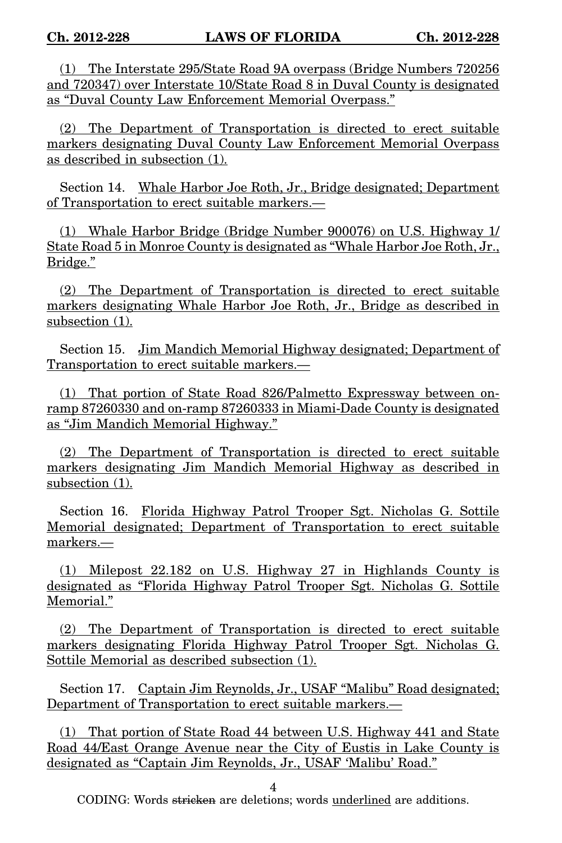(1) The Interstate 295/State Road 9A overpass (Bridge Numbers 720256 and 720347) over Interstate 10/State Road 8 in Duval County is designated as "Duval County Law Enforcement Memorial Overpass."

(2) The Department of Transportation is directed to erect suitable markers designating Duval County Law Enforcement Memorial Overpass as described in subsection (1).

Section 14. Whale Harbor Joe Roth, Jr., Bridge designated; Department of Transportation to erect suitable markers.—

(1) Whale Harbor Bridge (Bridge Number 900076) on U.S. Highway 1/ State Road 5 in Monroe County is designated as "Whale Harbor Joe Roth, Jr., Bridge."

(2) The Department of Transportation is directed to erect suitable markers designating Whale Harbor Joe Roth, Jr., Bridge as described in subsection  $(1)$ .

Section 15. Jim Mandich Memorial Highway designated; Department of Transportation to erect suitable markers.—

(1) That portion of State Road 826/Palmetto Expressway between onramp 87260330 and on-ramp 87260333 in Miami-Dade County is designated as "Jim Mandich Memorial Highway."

(2) The Department of Transportation is directed to erect suitable markers designating Jim Mandich Memorial Highway as described in subsection (1).

Section 16. Florida Highway Patrol Trooper Sgt. Nicholas G. Sottile Memorial designated; Department of Transportation to erect suitable markers.—

(1) Milepost 22.182 on U.S. Highway 27 in Highlands County is designated as "Florida Highway Patrol Trooper Sgt. Nicholas G. Sottile Memorial."

(2) The Department of Transportation is directed to erect suitable markers designating Florida Highway Patrol Trooper Sgt. Nicholas G. Sottile Memorial as described subsection (1).

Section 17. Captain Jim Reynolds, Jr., USAF "Malibu" Road designated; Department of Transportation to erect suitable markers.—

(1) That portion of State Road 44 between U.S. Highway 441 and State Road 44/East Orange Avenue near the City of Eustis in Lake County is designated as "Captain Jim Reynolds, Jr., USAF 'Malibu' Road."

4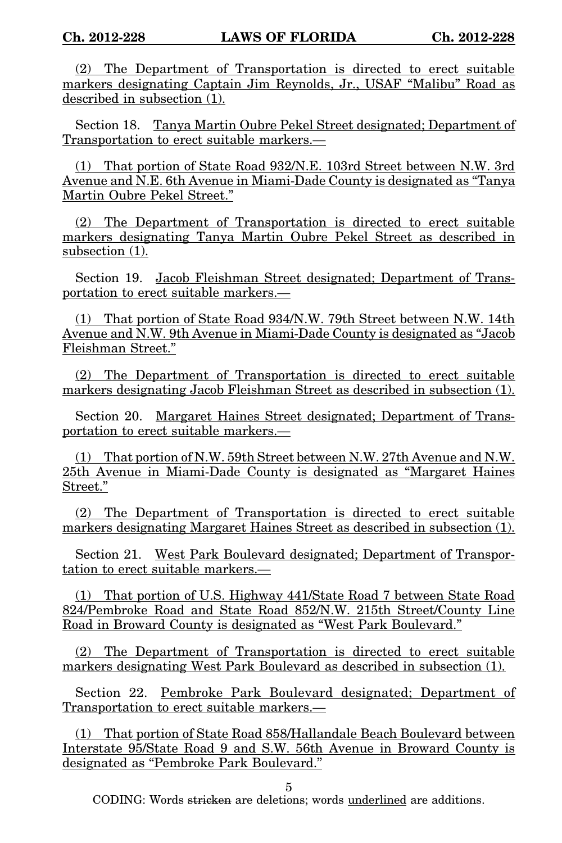(2) The Department of Transportation is directed to erect suitable markers designating Captain Jim Reynolds, Jr., USAF "Malibu" Road as described in subsection (1).

Section 18. Tanya Martin Oubre Pekel Street designated; Department of Transportation to erect suitable markers.—

(1) That portion of State Road 932/N.E. 103rd Street between N.W. 3rd Avenue and N.E. 6th Avenue in Miami-Dade County is designated as "Tanya Martin Oubre Pekel Street."

(2) The Department of Transportation is directed to erect suitable markers designating Tanya Martin Oubre Pekel Street as described in subsection (1).

Section 19. Jacob Fleishman Street designated; Department of Transportation to erect suitable markers.—

(1) That portion of State Road 934/N.W. 79th Street between N.W. 14th Avenue and N.W. 9th Avenue in Miami-Dade County is designated as "Jacob Fleishman Street."

(2) The Department of Transportation is directed to erect suitable markers designating Jacob Fleishman Street as described in subsection (1).

Section 20. Margaret Haines Street designated; Department of Transportation to erect suitable markers.—

(1) That portion of N.W. 59th Street between N.W. 27th Avenue and N.W. 25th Avenue in Miami-Dade County is designated as "Margaret Haines Street."

(2) The Department of Transportation is directed to erect suitable markers designating Margaret Haines Street as described in subsection (1).

Section 21. West Park Boulevard designated; Department of Transportation to erect suitable markers.—

(1) That portion of U.S. Highway 441/State Road 7 between State Road 824/Pembroke Road and State Road 852/N.W. 215th Street/County Line Road in Broward County is designated as "West Park Boulevard."

(2) The Department of Transportation is directed to erect suitable markers designating West Park Boulevard as described in subsection (1).

Section 22. Pembroke Park Boulevard designated; Department of Transportation to erect suitable markers.—

(1) That portion of State Road 858/Hallandale Beach Boulevard between Interstate 95/State Road 9 and S.W. 56th Avenue in Broward County is designated as "Pembroke Park Boulevard."

5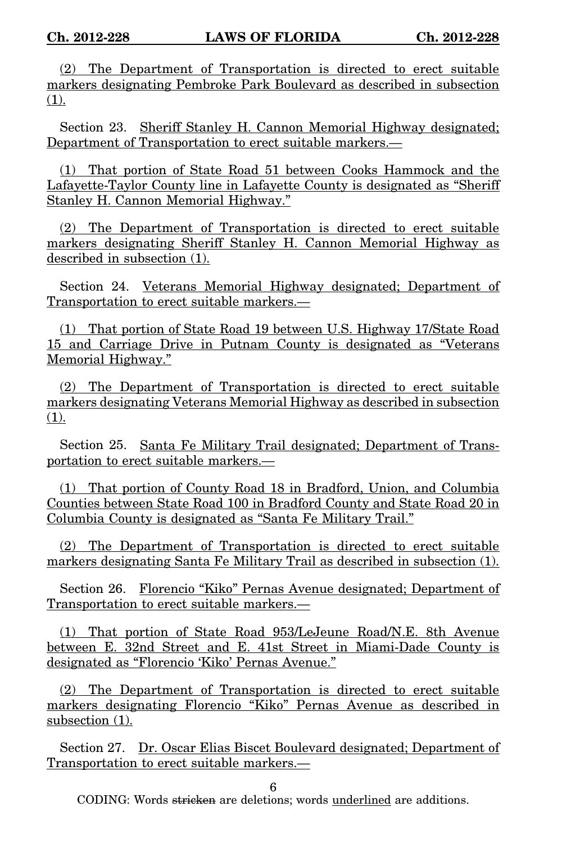(2) The Department of Transportation is directed to erect suitable markers designating Pembroke Park Boulevard as described in subsection (1).

Section 23. Sheriff Stanley H. Cannon Memorial Highway designated; Department of Transportation to erect suitable markers.—

(1) That portion of State Road 51 between Cooks Hammock and the Lafayette-Taylor County line in Lafayette County is designated as "Sheriff Stanley H. Cannon Memorial Highway."

(2) The Department of Transportation is directed to erect suitable markers designating Sheriff Stanley H. Cannon Memorial Highway as described in subsection (1).

Section 24. Veterans Memorial Highway designated; Department of Transportation to erect suitable markers.—

(1) That portion of State Road 19 between U.S. Highway 17/State Road 15 and Carriage Drive in Putnam County is designated as "Veterans Memorial Highway."

(2) The Department of Transportation is directed to erect suitable markers designating Veterans Memorial Highway as described in subsection (1).

Section 25. Santa Fe Military Trail designated; Department of Transportation to erect suitable markers.—

(1) That portion of County Road 18 in Bradford, Union, and Columbia Counties between State Road 100 in Bradford County and State Road 20 in Columbia County is designated as "Santa Fe Military Trail."

(2) The Department of Transportation is directed to erect suitable markers designating Santa Fe Military Trail as described in subsection (1).

Section 26. Florencio "Kiko" Pernas Avenue designated; Department of Transportation to erect suitable markers.—

(1) That portion of State Road 953/LeJeune Road/N.E. 8th Avenue between E. 32nd Street and E. 41st Street in Miami-Dade County is designated as "Florencio 'Kiko' Pernas Avenue."

(2) The Department of Transportation is directed to erect suitable markers designating Florencio "Kiko" Pernas Avenue as described in subsection (1).

Section 27. Dr. Oscar Elias Biscet Boulevard designated; Department of Transportation to erect suitable markers.—

6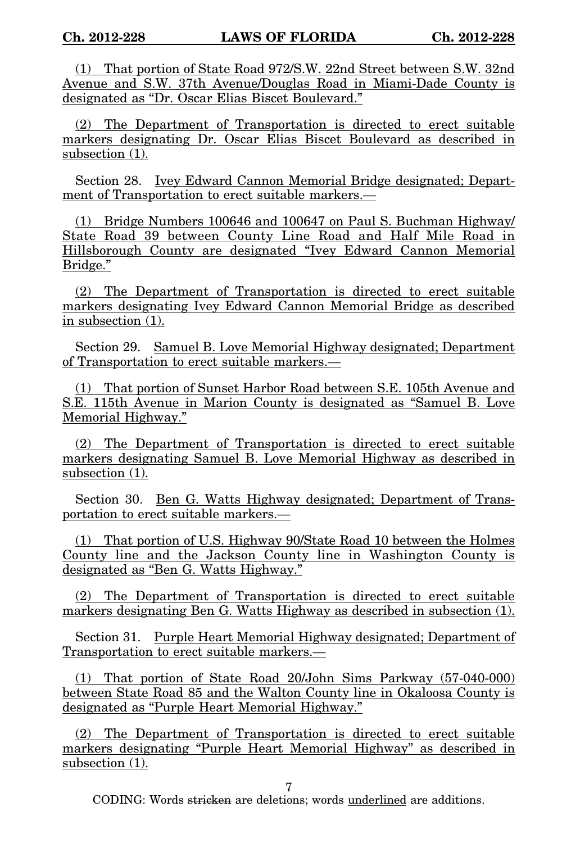(1) That portion of State Road 972/S.W. 22nd Street between S.W. 32nd Avenue and S.W. 37th Avenue/Douglas Road in Miami-Dade County is designated as "Dr. Oscar Elias Biscet Boulevard."

(2) The Department of Transportation is directed to erect suitable markers designating Dr. Oscar Elias Biscet Boulevard as described in subsection (1).

Section 28. Ivey Edward Cannon Memorial Bridge designated; Department of Transportation to erect suitable markers.—

(1) Bridge Numbers 100646 and 100647 on Paul S. Buchman Highway/ State Road 39 between County Line Road and Half Mile Road in Hillsborough County are designated "Ivey Edward Cannon Memorial Bridge."

(2) The Department of Transportation is directed to erect suitable markers designating Ivey Edward Cannon Memorial Bridge as described in subsection (1).

Section 29. Samuel B. Love Memorial Highway designated; Department of Transportation to erect suitable markers.—

(1) That portion of Sunset Harbor Road between S.E. 105th Avenue and S.E. 115th Avenue in Marion County is designated as "Samuel B. Love Memorial Highway."

(2) The Department of Transportation is directed to erect suitable markers designating Samuel B. Love Memorial Highway as described in subsection (1).

Section 30. Ben G. Watts Highway designated; Department of Transportation to erect suitable markers.—

(1) That portion of U.S. Highway 90/State Road 10 between the Holmes County line and the Jackson County line in Washington County is designated as "Ben G. Watts Highway."

(2) The Department of Transportation is directed to erect suitable markers designating Ben G. Watts Highway as described in subsection (1).

Section 31. Purple Heart Memorial Highway designated; Department of Transportation to erect suitable markers.—

(1) That portion of State Road 20/John Sims Parkway (57-040-000) between State Road 85 and the Walton County line in Okaloosa County is designated as "Purple Heart Memorial Highway."

(2) The Department of Transportation is directed to erect suitable markers designating "Purple Heart Memorial Highway" as described in subsection (1).

7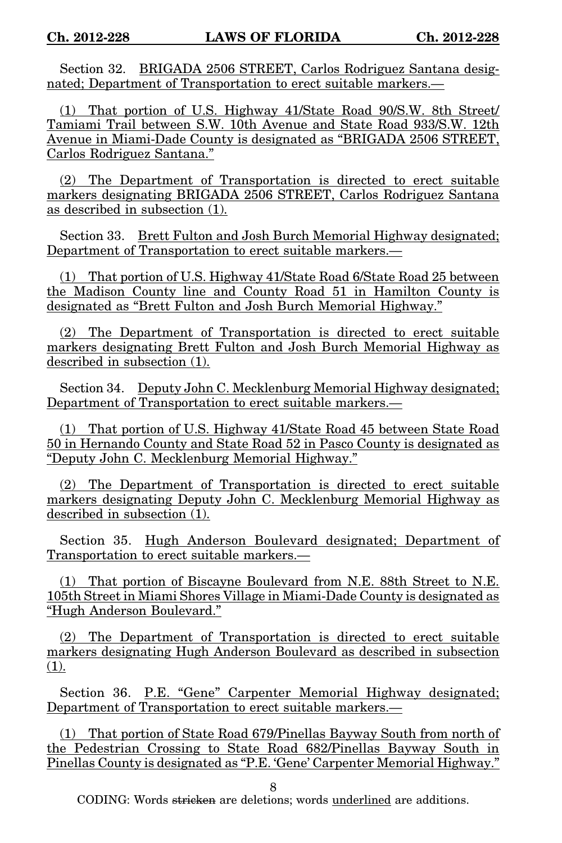Section 32. BRIGADA 2506 STREET, Carlos Rodriguez Santana designated; Department of Transportation to erect suitable markers.—

(1) That portion of U.S. Highway 41/State Road 90/S.W. 8th Street/ Tamiami Trail between S.W. 10th Avenue and State Road 933/S.W. 12th Avenue in Miami-Dade County is designated as "BRIGADA 2506 STREET, Carlos Rodriguez Santana."

(2) The Department of Transportation is directed to erect suitable markers designating BRIGADA 2506 STREET, Carlos Rodriguez Santana as described in subsection (1).

Section 33. <u>Brett Fulton and Josh Burch Memorial Highway designated</u>; Department of Transportation to erect suitable markers.—

(1) That portion of U.S. Highway 41/State Road 6/State Road 25 between the Madison County line and County Road 51 in Hamilton County is designated as "Brett Fulton and Josh Burch Memorial Highway."

(2) The Department of Transportation is directed to erect suitable markers designating Brett Fulton and Josh Burch Memorial Highway as described in subsection (1).

Section 34. Deputy John C. Mecklenburg Memorial Highway designated; Department of Transportation to erect suitable markers.—

(1) That portion of U.S. Highway 41/State Road 45 between State Road 50 in Hernando County and State Road 52 in Pasco County is designated as "Deputy John C. Mecklenburg Memorial Highway."

(2) The Department of Transportation is directed to erect suitable markers designating Deputy John C. Mecklenburg Memorial Highway as described in subsection (1).

Section 35. Hugh Anderson Boulevard designated; Department of Transportation to erect suitable markers.—

(1) That portion of Biscayne Boulevard from N.E. 88th Street to N.E. 105th Street in Miami Shores Village in Miami-Dade County is designated as "Hugh Anderson Boulevard."

(2) The Department of Transportation is directed to erect suitable markers designating Hugh Anderson Boulevard as described in subsection (1).

Section 36. P.E. "Gene" Carpenter Memorial Highway designated; Department of Transportation to erect suitable markers.—

(1) That portion of State Road 679/Pinellas Bayway South from north of the Pedestrian Crossing to State Road 682/Pinellas Bayway South in Pinellas County is designated as "P.E. 'Gene' Carpenter Memorial Highway."

8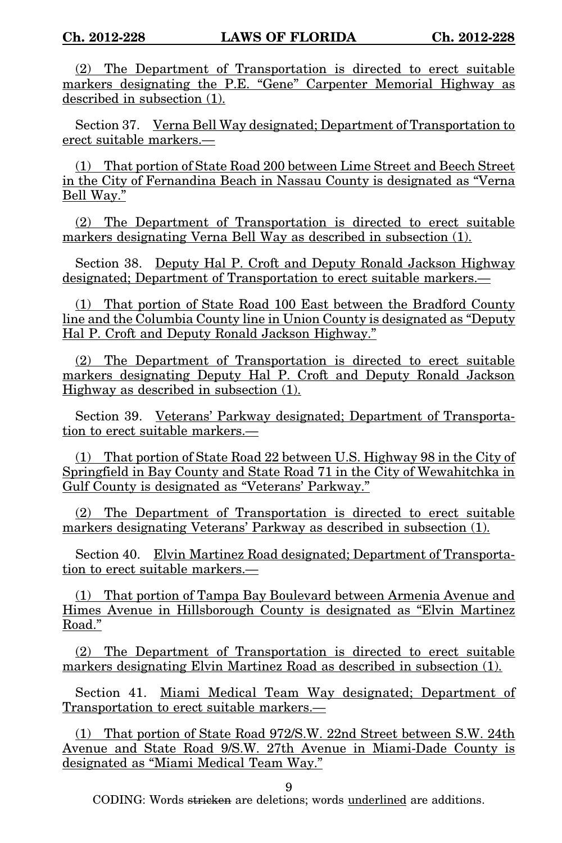(2) The Department of Transportation is directed to erect suitable markers designating the P.E. "Gene" Carpenter Memorial Highway as described in subsection (1).

Section 37. Verna Bell Way designated; Department of Transportation to erect suitable markers.—

(1) That portion of State Road 200 between Lime Street and Beech Street in the City of Fernandina Beach in Nassau County is designated as "Verna Bell Way."

(2) The Department of Transportation is directed to erect suitable markers designating Verna Bell Way as described in subsection (1).

Section 38. Deputy Hal P. Croft and Deputy Ronald Jackson Highway designated; Department of Transportation to erect suitable markers.—

(1) That portion of State Road 100 East between the Bradford County line and the Columbia County line in Union County is designated as "Deputy Hal P. Croft and Deputy Ronald Jackson Highway."

(2) The Department of Transportation is directed to erect suitable markers designating Deputy Hal P. Croft and Deputy Ronald Jackson Highway as described in subsection (1).

Section 39. Veterans' Parkway designated; Department of Transportation to erect suitable markers.—

(1) That portion of State Road 22 between U.S. Highway 98 in the City of Springfield in Bay County and State Road 71 in the City of Wewahitchka in Gulf County is designated as "Veterans' Parkway."

(2) The Department of Transportation is directed to erect suitable markers designating Veterans' Parkway as described in subsection (1).

Section 40. Elvin Martinez Road designated; Department of Transportation to erect suitable markers.—

(1) That portion of Tampa Bay Boulevard between Armenia Avenue and Himes Avenue in Hillsborough County is designated as "Elvin Martinez Road."

(2) The Department of Transportation is directed to erect suitable markers designating Elvin Martinez Road as described in subsection (1).

Section 41. Miami Medical Team Way designated; Department of Transportation to erect suitable markers.—

(1) That portion of State Road 972/S.W. 22nd Street between S.W. 24th Avenue and State Road 9/S.W. 27th Avenue in Miami-Dade County is designated as "Miami Medical Team Way."

9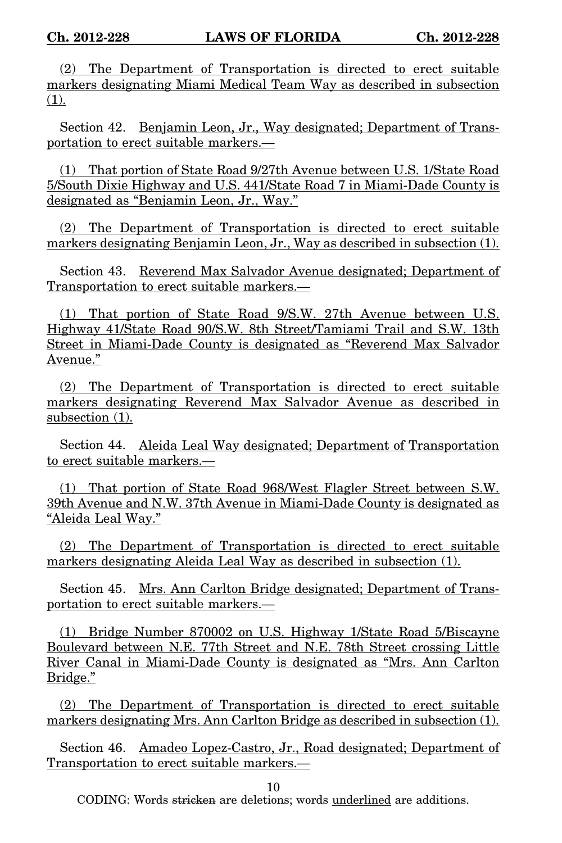(2) The Department of Transportation is directed to erect suitable markers designating Miami Medical Team Way as described in subsection (1).

Section 42. Benjamin Leon, Jr., Way designated; Department of Transportation to erect suitable markers.—

(1) That portion of State Road 9/27th Avenue between U.S. 1/State Road 5/South Dixie Highway and U.S. 441/State Road 7 in Miami-Dade County is designated as "Benjamin Leon, Jr., Way."

(2) The Department of Transportation is directed to erect suitable markers designating Benjamin Leon, Jr., Way as described in subsection (1).

Section 43. Reverend Max Salvador Avenue designated; Department of Transportation to erect suitable markers.—

(1) That portion of State Road 9/S.W. 27th Avenue between U.S. Highway 41/State Road 90/S.W. 8th Street/Tamiami Trail and S.W. 13th Street in Miami-Dade County is designated as "Reverend Max Salvador Avenue."

(2) The Department of Transportation is directed to erect suitable markers designating Reverend Max Salvador Avenue as described in subsection (1).

Section 44. Aleida Leal Way designated; Department of Transportation to erect suitable markers.—

(1) That portion of State Road 968/West Flagler Street between S.W. 39th Avenue and N.W. 37th Avenue in Miami-Dade County is designated as "Aleida Leal Way."

(2) The Department of Transportation is directed to erect suitable markers designating Aleida Leal Way as described in subsection (1).

Section 45. Mrs. Ann Carlton Bridge designated; Department of Transportation to erect suitable markers.—

(1) Bridge Number 870002 on U.S. Highway 1/State Road 5/Biscayne Boulevard between N.E. 77th Street and N.E. 78th Street crossing Little River Canal in Miami-Dade County is designated as "Mrs. Ann Carlton Bridge."

(2) The Department of Transportation is directed to erect suitable markers designating Mrs. Ann Carlton Bridge as described in subsection (1).

Section 46. Amadeo Lopez-Castro, Jr., Road designated; Department of Transportation to erect suitable markers.—

10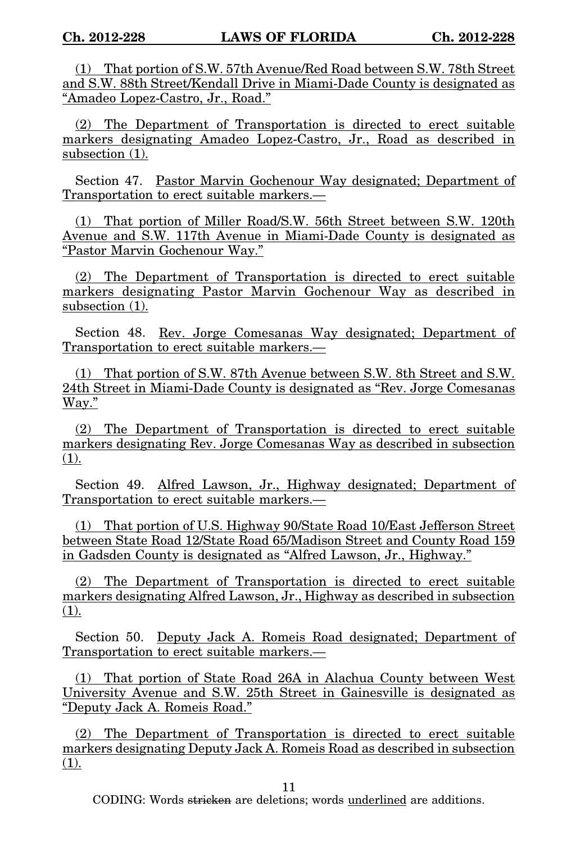(1) That portion of S.W. 57th Avenue/Red Road between S.W. 78th Street and S.W. 88th Street/Kendall Drive in Miami-Dade County is designated as "Amadeo Lopez-Castro, Jr., Road."

(2) The Department of Transportation is directed to erect suitable markers designating Amadeo Lopez-Castro, Jr., Road as described in subsection (1).

Section 47. Pastor Marvin Gochenour Way designated; Department of Transportation to erect suitable markers.—

(1) That portion of Miller Road/S.W. 56th Street between S.W. 120th Avenue and S.W. 117th Avenue in Miami-Dade County is designated as "Pastor Marvin Gochenour Way."

(2) The Department of Transportation is directed to erect suitable markers designating Pastor Marvin Gochenour Way as described in subsection (1).

Section 48. Rev. Jorge Comesanas Way designated; Department of Transportation to erect suitable markers.—

(1) That portion of S.W. 87th Avenue between S.W. 8th Street and S.W. 24th Street in Miami-Dade County is designated as "Rev. Jorge Comesanas Way."

(2) The Department of Transportation is directed to erect suitable markers designating Rev. Jorge Comesanas Way as described in subsection (1).

Section 49. Alfred Lawson, Jr., Highway designated; Department of Transportation to erect suitable markers.—

(1) That portion of U.S. Highway 90/State Road 10/East Jefferson Street between State Road 12/State Road 65/Madison Street and County Road 159 in Gadsden County is designated as "Alfred Lawson, Jr., Highway."

(2) The Department of Transportation is directed to erect suitable markers designating Alfred Lawson, Jr., Highway as described in subsection (1).

Section 50. Deputy Jack A. Romeis Road designated; Department of Transportation to erect suitable markers.—

(1) That portion of State Road 26A in Alachua County between West University Avenue and S.W. 25th Street in Gainesville is designated as "Deputy Jack A. Romeis Road."

(2) The Department of Transportation is directed to erect suitable markers designating Deputy Jack A. Romeis Road as described in subsection (1).

11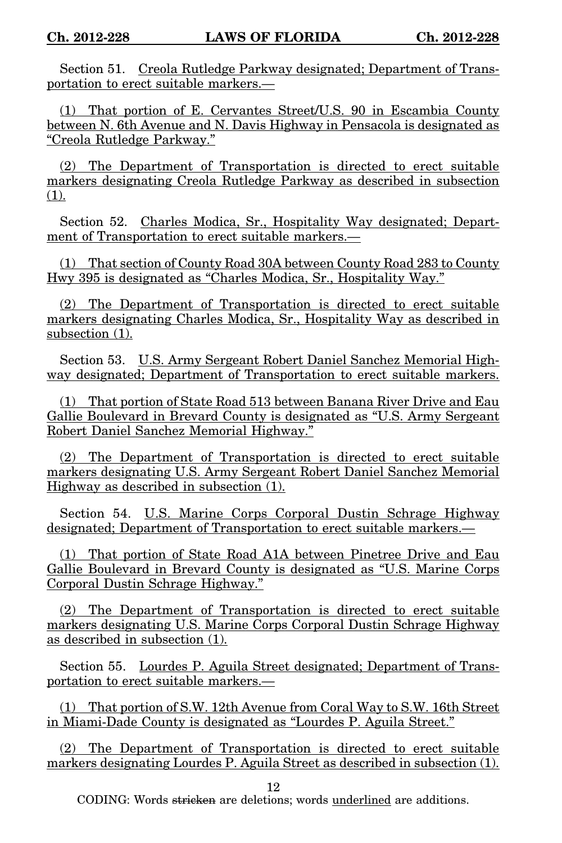Section 51. Creola Rutledge Parkway designated; Department of Transportation to erect suitable markers.—

(1) That portion of E. Cervantes Street/U.S. 90 in Escambia County between N. 6th Avenue and N. Davis Highway in Pensacola is designated as "Creola Rutledge Parkway."

(2) The Department of Transportation is directed to erect suitable markers designating Creola Rutledge Parkway as described in subsection (1).

Section 52. Charles Modica, Sr., Hospitality Way designated; Department of Transportation to erect suitable markers.—

(1) That section of County Road 30A between County Road 283 to County Hwy 395 is designated as "Charles Modica, Sr., Hospitality Way."

(2) The Department of Transportation is directed to erect suitable markers designating Charles Modica, Sr., Hospitality Way as described in subsection  $(1)$ .

Section 53. U.S. Army Sergeant Robert Daniel Sanchez Memorial Highway designated; Department of Transportation to erect suitable markers.

(1) That portion of State Road 513 between Banana River Drive and Eau Gallie Boulevard in Brevard County is designated as "U.S. Army Sergeant Robert Daniel Sanchez Memorial Highway."

(2) The Department of Transportation is directed to erect suitable markers designating U.S. Army Sergeant Robert Daniel Sanchez Memorial Highway as described in subsection (1).

Section 54. U.S. Marine Corps Corporal Dustin Schrage Highway designated; Department of Transportation to erect suitable markers.—

(1) That portion of State Road A1A between Pinetree Drive and Eau Gallie Boulevard in Brevard County is designated as "U.S. Marine Corps Corporal Dustin Schrage Highway."

(2) The Department of Transportation is directed to erect suitable markers designating U.S. Marine Corps Corporal Dustin Schrage Highway as described in subsection (1).

Section 55. Lourdes P. Aguila Street designated; Department of Transportation to erect suitable markers.—

(1) That portion of S.W. 12th Avenue from Coral Way to S.W. 16th Street in Miami-Dade County is designated as "Lourdes P. Aguila Street."

(2) The Department of Transportation is directed to erect suitable markers designating Lourdes P. Aguila Street as described in subsection (1).

12